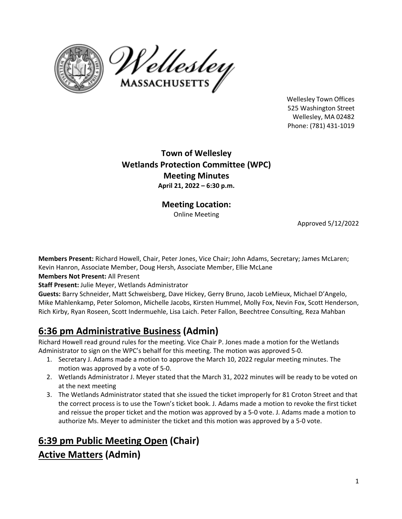



Wellesley Town Offices 525 Washington Street Wellesley, MA 02482 Phone: (781) 431‐1019

# **Town of Wellesley Wetlands Protection Committee (WPC) Meeting Minutes April 21, 2022 – 6:30 p.m.**

**Meeting Location:**  Online Meeting

Approved 5/12/2022

**Members Present:** Richard Howell, Chair, Peter Jones, Vice Chair; John Adams, Secretary; James McLaren; Kevin Hanron, Associate Member, Doug Hersh, Associate Member, Ellie McLane

# **Members Not Present:** All Present

**Staff Present:** Julie Meyer, Wetlands Administrator

**Guests:** Barry Schneider, Matt Schweisberg, Dave Hickey, Gerry Bruno, Jacob LeMieux, Michael D'Angelo, Mike Mahlenkamp, Peter Solomon, Michelle Jacobs, Kirsten Hummel, Molly Fox, Nevin Fox, Scott Henderson, Rich Kirby, Ryan Roseen, Scott Indermuehle, Lisa Laich. Peter Fallon, Beechtree Consulting, Reza Mahban

# **6:36 pm Administrative Business (Admin)**

Richard Howell read ground rules for the meeting. Vice Chair P. Jones made a motion for the Wetlands Administrator to sign on the WPC's behalf for this meeting. The motion was approved 5‐0.

- 1. Secretary J. Adams made a motion to approve the March 10, 2022 regular meeting minutes. The motion was approved by a vote of 5‐0.
- 2. Wetlands Administrator J. Meyer stated that the March 31, 2022 minutes will be ready to be voted on at the next meeting
- 3. The Wetlands Administrator stated that she issued the ticket improperly for 81 Croton Street and that the correct process is to use the Town's ticket book. J. Adams made a motion to revoke the first ticket and reissue the proper ticket and the motion was approved by a 5‐0 vote. J. Adams made a motion to authorize Ms. Meyer to administer the ticket and this motion was approved by a 5‐0 vote.

# **6:39 pm Public Meeting Open (Chair) Active Matters (Admin)**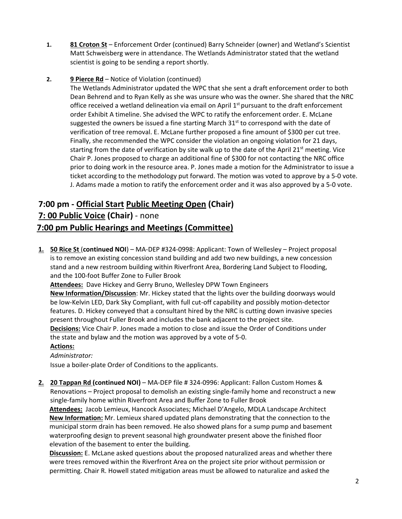- **1. 81 Croton St** Enforcement Order (continued) Barry Schneider (owner) and Wetland's Scientist Matt Schweisberg were in attendance. The Wetlands Administrator stated that the wetland scientist is going to be sending a report shortly.
- **2. 9 Pierce Rd**  Notice of Violation (continued)

The Wetlands Administrator updated the WPC that she sent a draft enforcement order to both Dean Behrend and to Ryan Kelly as she was unsure who was the owner. She shared that the NRC office received a wetland delineation via email on April  $1<sup>st</sup>$  pursuant to the draft enforcement order Exhibit A timeline. She advised the WPC to ratify the enforcement order. E. McLane suggested the owners be issued a fine starting March  $31<sup>st</sup>$  to correspond with the date of verification of tree removal. E. McLane further proposed a fine amount of \$300 per cut tree. Finally, she recommended the WPC consider the violation an ongoing violation for 21 days, starting from the date of verification by site walk up to the date of the April 21<sup>st</sup> meeting. Vice Chair P. Jones proposed to charge an additional fine of \$300 for not contacting the NRC office prior to doing work in the resource area. P. Jones made a motion for the Administrator to issue a ticket according to the methodology put forward. The motion was voted to approve by a 5‐0 vote. J. Adams made a motion to ratify the enforcement order and it was also approved by a 5‐0 vote.

# **7:00 pm ‐ Official Start Public Meeting Open (Chair) 7: 00 Public Voice (Chair)** ‐ none

# **7:00 pm Public Hearings and Meetings (Committee)**

**1. 50 Rice St** (**continued NOI**) – MA‐DEP #324‐0998: Applicant: Town of Wellesley – Project proposal is to remove an existing concession stand building and add two new buildings, a new concession stand and a new restroom building within Riverfront Area, Bordering Land Subject to Flooding, and the 100‐foot Buffer Zone to Fuller Brook

**Attendees:** Dave Hickey and Gerry Bruno, Wellesley DPW Town Engineers

**New Information/Discussion**: Mr. Hickey stated that the lights over the building doorways would be low-Kelvin LED, Dark Sky Compliant, with full cut-off capability and possibly motion-detector features. D. Hickey conveyed that a consultant hired by the NRC is cutting down invasive species present throughout Fuller Brook and includes the bank adjacent to the project site.

**Decisions:** Vice Chair P. Jones made a motion to close and issue the Order of Conditions under the state and bylaw and the motion was approved by a vote of 5‐0.

# **Actions:**

*Administrator:*

Issue a boiler‐plate Order of Conditions to the applicants.

**2. 20 Tappan Rd (continued NOI)** – MA‐DEP file # 324‐0996: Applicant: Fallon Custom Homes & Renovations – Project proposal to demolish an existing single-family home and reconstruct a new single‐family home within Riverfront Area and Buffer Zone to Fuller Brook

**Attendees:** Jacob Lemieux, Hancock Associates; Michael D'Angelo, MDLA Landscape Architect **New Information:** Mr. Lemieux shared updated plans demonstrating that the connection to the municipal storm drain has been removed. He also showed plans for a sump pump and basement waterproofing design to prevent seasonal high groundwater present above the finished floor elevation of the basement to enter the building.

**Discussion:** E. McLane asked questions about the proposed naturalized areas and whether there were trees removed within the Riverfront Area on the project site prior without permission or permitting. Chair R. Howell stated mitigation areas must be allowed to naturalize and asked the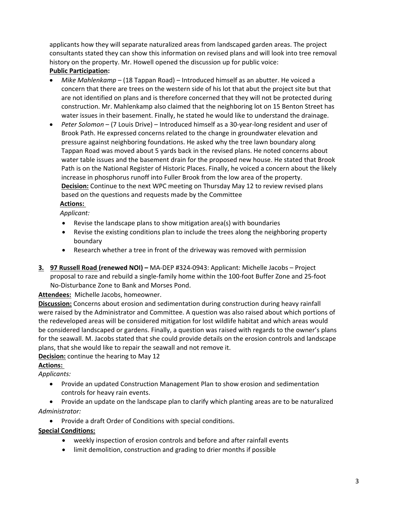applicants how they will separate naturalized areas from landscaped garden areas. The project consultants stated they can show this information on revised plans and will look into tree removal history on the property. Mr. Howell opened the discussion up for public voice:

# **Public Participation:**

- *Mike Mahlenkamp* (18 Tappan Road) Introduced himself as an abutter. He voiced a concern that there are trees on the western side of his lot that abut the project site but that are not identified on plans and is therefore concerned that they will not be protected during construction. Mr. Mahlenkamp also claimed that the neighboring lot on 15 Benton Street has water issues in their basement. Finally, he stated he would like to understand the drainage.
- *Peter Solomon* (7 Louis Drive) Introduced himself as a 30‐year‐long resident and user of Brook Path. He expressed concerns related to the change in groundwater elevation and pressure against neighboring foundations. He asked why the tree lawn boundary along Tappan Road was moved about 5 yards back in the revised plans. He noted concerns about water table issues and the basement drain for the proposed new house. He stated that Brook Path is on the National Register of Historic Places. Finally, he voiced a concern about the likely increase in phosphorus runoff into Fuller Brook from the low area of the property. **Decision:** Continue to the next WPC meeting on Thursday May 12 to review revised plans based on the questions and requests made by the Committee

# **Actions:**

*Applicant:* 

- Revise the landscape plans to show mitigation area(s) with boundaries
- Revise the existing conditions plan to include the trees along the neighboring property boundary
- Research whether a tree in front of the driveway was removed with permission
- **3. 97 Russell Road (renewed NOI)** MA‐DEP #324‐0943: Applicant: Michelle Jacobs Project proposal to raze and rebuild a single‐family home within the 100‐foot Buffer Zone and 25‐foot No‐Disturbance Zone to Bank and Morses Pond.

**Attendees:** Michelle Jacobs, homeowner.

**Discussion:** Concerns about erosion and sedimentation during construction during heavy rainfall were raised by the Administrator and Committee. A question was also raised about which portions of the redeveloped areas will be considered mitigation for lost wildlife habitat and which areas would be considered landscaped or gardens. Finally, a question was raised with regards to the owner's plans for the seawall. M. Jacobs stated that she could provide details on the erosion controls and landscape plans, that she would like to repair the seawall and not remove it.

# **Decision:** continue the hearing to May 12

# **Actions:**

*Applicants:* 

- Provide an updated Construction Management Plan to show erosion and sedimentation controls for heavy rain events.
- Provide an update on the landscape plan to clarify which planting areas are to be naturalized *Administrator:*
	- Provide a draft Order of Conditions with special conditions.

# **Special Conditions:**

- weekly inspection of erosion controls and before and after rainfall events
- limit demolition, construction and grading to drier months if possible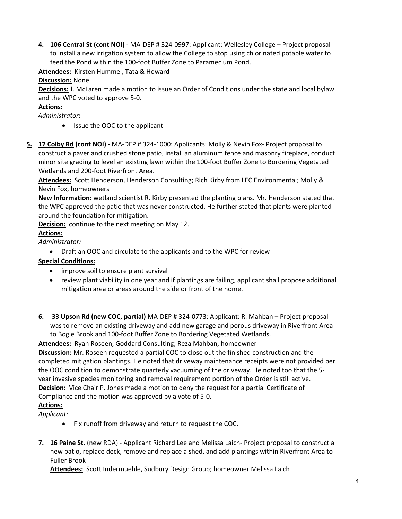**4. 106 Central St (cont NOI) ‐** MA‐DEP # 324‐0997: Applicant: Wellesley College – Project proposal to install a new irrigation system to allow the College to stop using chlorinated potable water to feed the Pond within the 100‐foot Buffer Zone to Paramecium Pond.

Attendees: Kirsten Hummel, Tata & Howard

#### **Discussion:** None

**Decisions:** J. McLaren made a motion to issue an Order of Conditions under the state and local bylaw and the WPC voted to approve 5‐0.

# **Actions:**

 *Administrator***:** 

- Issue the OOC to the applicant
- **5. 17 Colby Rd (cont NOI) ‐** MA‐DEP # 324‐1000: Applicants: Molly & Nevin Fox‐ Project proposal to construct a paver and crushed stone patio, install an aluminum fence and masonry fireplace, conduct minor site grading to level an existing lawn within the 100‐foot Buffer Zone to Bordering Vegetated Wetlands and 200‐foot Riverfront Area.

**Attendees:** Scott Henderson, Henderson Consulting; Rich Kirby from LEC Environmental; Molly & Nevin Fox, homeowners

**New Information:** wetland scientist R. Kirby presented the planting plans. Mr. Henderson stated that the WPC approved the patio that was never constructed. He further stated that plants were planted around the foundation for mitigation.

**Decision:** continue to the next meeting on May 12.

# **Actions:**

*Administrator:*

Draft an OOC and circulate to the applicants and to the WPC for review

# **Special Conditions:**

- improve soil to ensure plant survival
- review plant viability in one year and if plantings are failing, applicant shall propose additional mitigation area or areas around the side or front of the home.
- **6. 33 Upson Rd (new COC, partial)** MA‐DEP # 324‐0773: Applicant: R. Mahban Project proposal was to remove an existing driveway and add new garage and porous driveway in Riverfront Area to Bogle Brook and 100‐foot Buffer Zone to Bordering Vegetated Wetlands.

Attendees: Ryan Roseen, Goddard Consulting; Reza Mahban, homeowner **Discussion:** Mr. Roseen requested a partial COC to close out the finished construction and the completed mitigation plantings. He noted that driveway maintenance receipts were not provided per the OOC condition to demonstrate quarterly vacuuming of the driveway. He noted too that the 5‐ year invasive species monitoring and removal requirement portion of the Order is still active. **Decision:**  Vice Chair P. Jones made a motion to deny the request for a partial Certificate of Compliance and the motion was approved by a vote of 5‐0.

# **Actions:**

*Applicant:*

- Fix runoff from driveway and return to request the COC.
- **7. 16 Paine St.** (new RDA) ‐ Applicant Richard Lee and Melissa Laich‐ Project proposal to construct a new patio, replace deck, remove and replace a shed, and add plantings within Riverfront Area to Fuller Brook

**Attendees:** Scott Indermuehle, Sudbury Design Group; homeowner Melissa Laich